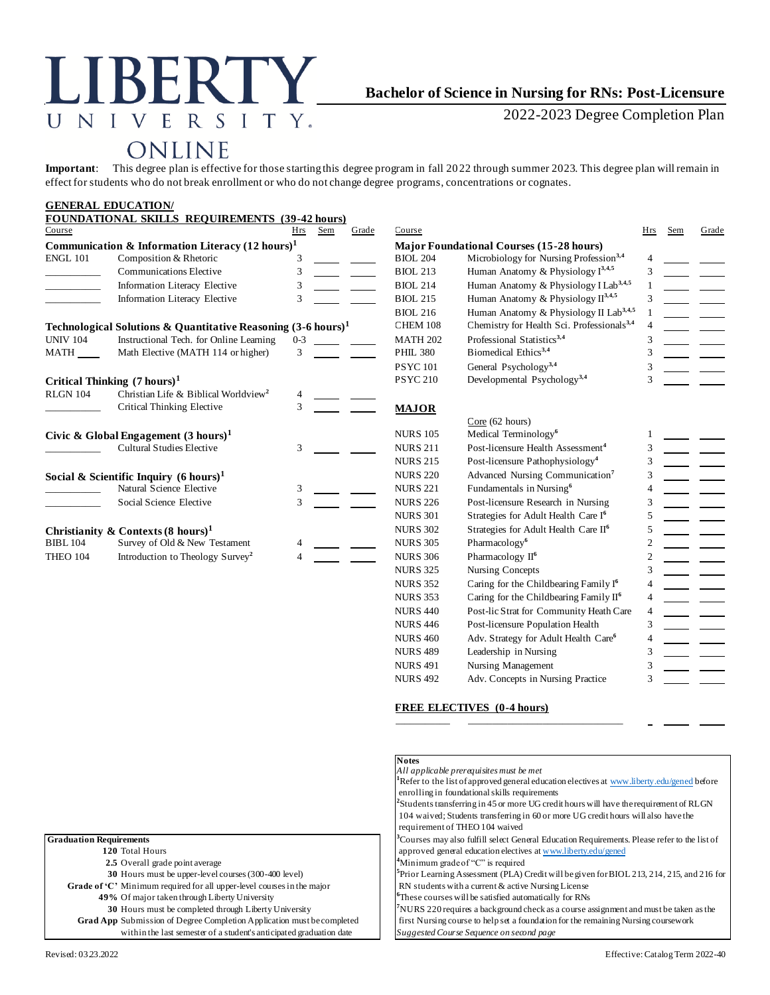#### E N I V R S  $\top$ Υ.  $\mathbf{I}$

# **Bachelor of Science in Nursing for RNs: Post-Licensure**

2022-2023 Degree Completion Plan

# ONLINE

**Important**: This degree plan is effective for those starting this degree program in fall 2022 through summer 2023. This degree plan will remain in effect for students who do not break enrollment or who do not change degree programs, concentrations or cognates.

#### **GENERAL EDUCATION/ FOUNDATIONAL SKILLS REQUIREMENTS (39-42 hours)** Course Hrs Sem Grade Course Hrs Sem Grade **Communication & Information Literacy (12 hours)<sup>1</sup> Major Foundational Courses (15-28 hours)** ENGL 101 Composition & Rhetoric 3 BIOL 204 Microbiology for Nursing Profession<sup>3,4</sup> Communications Elective 3 **3** BIOL 213 Human Anatomy & Physiology I<sup>3,4,5</sup> Information Literacy Elective 3 \_\_\_\_\_\_\_<sub>\_</sub> \_\_\_\_\_\_\_ BIOL 214 Human Anatomy & Physiology I Lab<sup>3,4,5</sup> Information Literacy Elective 3 **BIOL 215** Human Anatomy & Physiology II<sup>3,4,5</sup> BIOL 216 Human Anatomy & Physiology II Lab<sup>3,4,5</sup> **Technological Solutions & Quantitative Reasoning**  $(3-6 \text{ hours})^1$  **CHEM 108 Chemistry for Health Sci. Professionals<sup>3,4</sup> UNIV 104 Instructional Tech. for Online Learning 0-3 MATH 202 Professional Statistics<sup>3,4</sup>** UNIV 104 Instructional Tech. for Online Learning 0-3 100 MATH 202 Professional Statistics<sup>3,4</sup> 3 MATH Math Elective (MATH 114 or higher) 3 **PHIL 380** Biomedical Ethics<sup>3,4</sup> 3 PSYC 101 General Psychology<sup>3,4</sup> 3 **Critical Thinking (7 hours)<sup>1</sup>** PSYC 210 Developmental Psychology<sup>3,4</sup> 3 RLGN 104 Christian Life & Biblical Worldview**<sup>2</sup>** 4 Critical Thinking Elective 3 **MAJOR** Core (62 hours) **Civic & Global Engagement (3 hours)<sup>1</sup>**  $\frac{1}{3}$  NURS 105 Medical Terminology<sup>6</sup> Cultural Studies Elective 3 NURS 211 Post-licensure Health *i* 1 \_\_\_\_\_\_\_\_\_\_\_ Cultural Studies Elective 3 NURS 211 Post-licensure Health Assessment**<sup>4</sup>** 3 NURS 215 Post-licensure Pathophysiology**<sup>4</sup>** 3 **Social & Scientific Inquiry (6 hours)<sup>1</sup> 120 Advanced Nursing Communication<sup>7</sup><br>Natural Science Elective 13 120 221 Fundamentals in Nursing<sup>6</sup>** 3 Fundamentals in Nursing<sup>6</sup> 4 Social Science Elective 3 1 2 NURS 226 Post-licensure Research in Nursing 3 NURS 301 Strategies for Adult Health Care I**<sup>6</sup>** 5 **Christianity & Contexts(8 hours)<sup>1</sup>** NURS 302 Strategies for Adult Health Care II**<sup>6</sup>** 5 BIBL 104 Survey of Old & New Testament 4 <u>11 NURS 305</u> Pharmacology<sup>6</sup> 2 THEO 104 Introduction to Theology Survey**<sup>2</sup>** NURS 306 Pharmacology II<sup>6</sup> 2 NURS 325 Nursing Concepts 3 NURS 352 Caring for the Childbearing Family I**<sup>6</sup>** 4 NURS 353 Caring for the Childbearing Family II<sup>6</sup> 4 NURS 440 Post-lic Strat for Community Heath Care 4

### **FREE ELECTIVES (0-4 hours)**

NURS 446 Post-licensure Population Health 3 NURS 460 Adv. Strategy for Adult Health Care**<sup>6</sup>**

NURS 489 Leadership in Nursing 3 NURS 491 Nursing Management 3 NURS 492 Adv. Concepts in Nursing Practice 3

\_\_\_\_\_\_\_\_\_\_\_ \_\_\_\_\_\_\_\_\_\_\_\_\_\_\_\_\_\_\_\_\_\_\_\_\_\_\_\_\_\_\_

|                                                                        | <b>Notes</b>                                                                                                         |  |
|------------------------------------------------------------------------|----------------------------------------------------------------------------------------------------------------------|--|
|                                                                        | All applicable prerequisites must be met                                                                             |  |
|                                                                        | <sup>1</sup> Refer to the list of approved general education electives at www.liberty.edu/gened before               |  |
|                                                                        | enrolling in foundational skills requirements                                                                        |  |
|                                                                        | $\frac{2}{3}$ Students transferring in 45 or more UG credit hours will have the requirement of RLGN                  |  |
|                                                                        | 104 waived; Students transferring in 60 or more UG credit hours will also have the<br>requirement of THEO 104 waived |  |
| <b>Graduation Requirements</b>                                         | <sup>3</sup> Courses may also fulfill select General Education Requirements. Please refer to the list of             |  |
| 120 Total Hours                                                        | approved general education electives at www.liberty.edu/gened                                                        |  |
| 2.5 Overall grade point average                                        | <sup>4</sup> Minimum grade of "C" is required                                                                        |  |
| 30 Hours must be upper-level courses (300-400 level)                   | Prior Learning Assessment (PLA) Credit will be given for BIOL 213, 214, 215, and 216 for                             |  |
| Grade of 'C' Minimum required for all upper-level courses in the major | RN students with a current & active Nursing License                                                                  |  |
| 49% Of major taken through Liberty University                          | <sup>6</sup> These courses will be satisfied automatically for RNs                                                   |  |
| 30 Hours must be completed through Liberty University                  | NURS 220 requires a background check as a course assignment and must be taken as the                                 |  |
| Grad App Submission of Degree Completion Application must be completed | first Nursing course to help set a foundation for the remaining Nursing coursework                                   |  |
| within the last semester of a student's anticipated graduation date    | Suggested Course Sequence on second page                                                                             |  |
|                                                                        |                                                                                                                      |  |

4